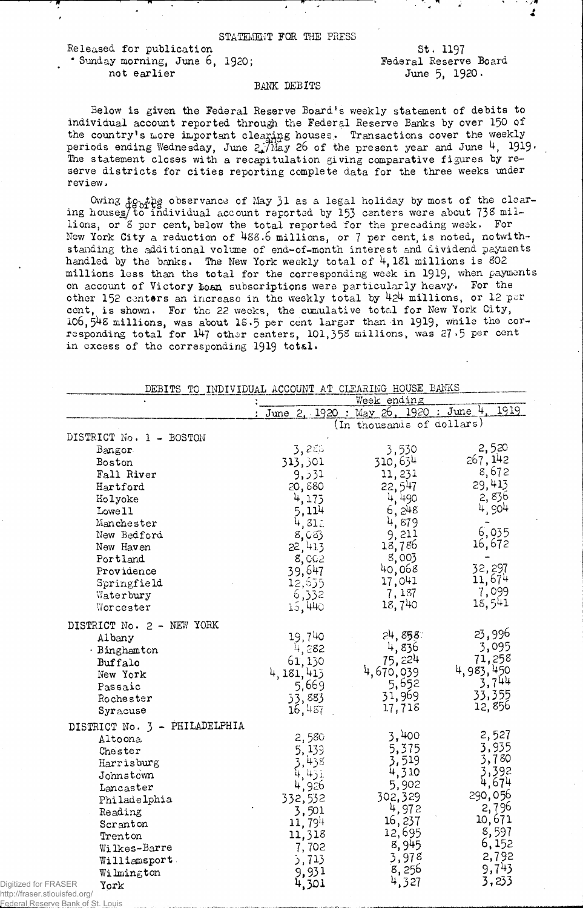STATEMENT FOR THE PRESS

------------------------------------*, m* n . , - */ m* •r x ^ *M A*

Released for publication \* Sunday morning, June 6, 1920; not earlier

St. 1197 Federal Reserve Board June 5, 1920.

## BANK DEBITS

Below is given the Federal Reserve Board's weekly statement of debits to individual account reported through the Federal Reserve Banks by over 150 of the country's more important clearing houses. Transactions cover the weekly periods ending Wednesday, June  $2\sqrt{M}$ ay 26 of the present year and June 4, 1919 $\cdot$ The statement closes with a recapitulation giving comparative figures by reserve districts for cities reporting complete data for the three weeks under review -

Owing to pthe observance of May 31 as a legal holiday by most of the clearing houses/ to individual account reported by 153 centers were about 738 millions, or 8 per cent, below the total reported for the preceding week. For New York City a reduction of 488.6 millions, or 7 per cent, is noted, notwithstanding the additional volume of end-of-month interest and dividend payments handled by the banks. The New York weekly total of  $4,181$  millions is 802 millions less than the total for the corresponding week in 1919, when payments on account of Victory *ho*aa subscriptions were particularly heavy. For the other 152 centers an increase in the weekly total by 424 millions, or 12 per cent, is shown. For the 22 weeks, the emulative total for New York City, 106, 548 millions, was about 18.5 per cent larger than in 1919, while the corresponding total for 147 other centers, 101,358 millions, was 27.5 per cent in excess of the corresponding 1919 total.

|                      | DEBITS TO INDIVIDUAL ACCOUNT AT CLEARING HOUSE BANKS |                  |                           |                 |  |
|----------------------|------------------------------------------------------|------------------|---------------------------|-----------------|--|
|                      |                                                      |                  | Week ending               |                 |  |
|                      |                                                      | June 2, 1920     | : May 26, 1920 : June 4   | 1919            |  |
|                      |                                                      |                  | (In thousands of dollars) |                 |  |
|                      | DISTRICT No. 1 - BOSTON                              |                  |                           |                 |  |
|                      | Bangor                                               | 3,25             | 3,530                     | 2,520           |  |
|                      | Boston                                               | 313,301          | 310,634                   | 267,142         |  |
|                      | Fall River                                           | 9,531            | 11,231                    | 8,672           |  |
|                      | Hartford                                             | 20,880           | 22,547                    | 29,413          |  |
|                      | Holyoke                                              | 4,173            | 4,490                     | 2,836           |  |
|                      | Lowe 11                                              | $5,114$<br>4.312 | 6, 248                    | 4,904           |  |
|                      | Manchester                                           | 312              | 4,879                     |                 |  |
|                      | New Bedford                                          | 8,083            | 9,211                     | 6,035           |  |
|                      | New Haven                                            | 22,413           | 18,786                    | 16,672          |  |
|                      | Portland                                             | 8,002            | 8,003                     |                 |  |
|                      | Providence                                           | 39,647           | 40,068                    | 32,297          |  |
|                      | Springfield                                          | 12,555           | 17,041                    | 11,674          |  |
|                      | Waterbury                                            | 6,332            | 7,187                     | 7,099<br>18,541 |  |
|                      | Worcester                                            | 15,440           | 18,740                    |                 |  |
|                      | DISTRICT No. 2 - NEW YORK                            |                  |                           |                 |  |
|                      | Albany                                               | 19,740           | 24,858°                   | 23,996          |  |
|                      | · Binghamton                                         | 4,282            | 4,836                     | 3,095           |  |
|                      | Buffalo                                              | 61, 130          | 75, 224                   | 71,258          |  |
|                      | New York                                             | 4, 181, 413      | 4,670,039                 | 4,983,450       |  |
|                      | Passaic                                              | 5,669            | 5,652                     | 3,744           |  |
|                      | Rochester                                            | 53,883           | 31,969                    | 33,355          |  |
|                      | Syracuse                                             | 16,457           | 17,718                    | 12,856          |  |
|                      | DISTRICT No. 3 - PHILADELPHIA                        |                  |                           |                 |  |
|                      | Altoona                                              | 2,580            | 3,400                     | 2,527           |  |
|                      | Chester                                              | 5, 139           | 5,375                     | 3,935           |  |
|                      | Harrisburg                                           | 438              | 3,519                     | 3,780           |  |
|                      | Johnstown                                            | 431              | 4,310                     | 3,392           |  |
|                      | Lancaster                                            | 4,926            | 5,902                     | 4,674           |  |
|                      | Philadelphia                                         | 332,532          | 302,329                   | 290,056         |  |
|                      | Reading                                              | 3,501            | 4,972                     | 2,796           |  |
|                      | Scranton                                             | 11,794           | 16, 237                   | 10,671          |  |
|                      | Trenton                                              | 11,318           | 12,695                    | 8,597           |  |
|                      | Wilkes-Barre                                         | 7,702            | 8,945                     | 6,152           |  |
|                      | Williamsport                                         | 5,713            | 3,978                     | 2,792           |  |
|                      | Wilmington                                           | 9,931            | 8,256                     | 9,743           |  |
| Digitized for FRASER | York                                                 | 4,301            | 4,327                     | 3,233           |  |

http://fraser.stlouisfed.org/

Federal Reserve Bank of St. Louis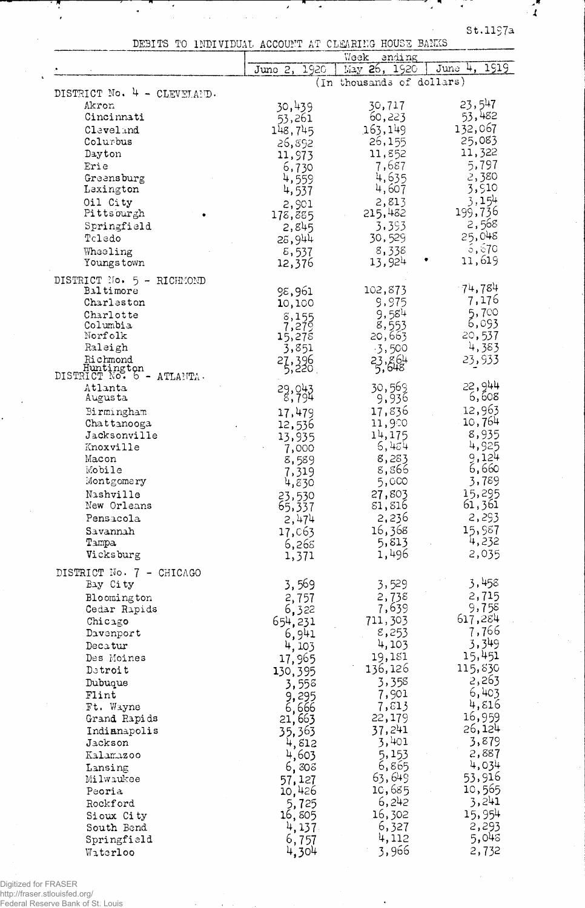$st.1197a$ 

 $\overline{a}$ 

 $\mathbf{r}$ 

|  | DEBITS TO INDIVIDUAL ACCOUNT AT CLEARING HOUSE BANKS |  |  |  |
|--|------------------------------------------------------|--|--|--|
|  |                                                      |  |  |  |

 $\lambda$ 

|                                            |                  | Woek<br>anding            |                  |
|--------------------------------------------|------------------|---------------------------|------------------|
|                                            | 1920<br>June 2,  | May 26, 1920              | 1919<br>June 4,  |
|                                            |                  | (In thousands of dollars) |                  |
| DISTRICT No. 4 - CLEVELAND.                |                  |                           |                  |
| Akron                                      | 30,439           | 30,717                    | 23,547<br>53,482 |
| Cincinnati                                 | 53,261           | 60,223                    | 132,067          |
| Cleveland                                  | 148,745          | 163,149                   | 25,083           |
| Colurbus                                   | 26,892           | 26,155                    | 11,322           |
| Dayton                                     | 11,973           | 11,852                    | 5,797            |
| Erie                                       | 6,730            | 7,687<br>4,635            | 2,380            |
| Greensburg<br>Lexington                    | 4,559            | 4,607                     | 3,910            |
| Oil City                                   | 4,537            | 2,813                     | 3,154            |
| Pittsourgh                                 | 2,901            | 215,482                   | 199,736          |
| Springfield                                | 178,885<br>2,845 | 3,393                     | 2,568            |
| Toledo                                     | 28,944           | 30,529                    | 25,048           |
| Wheeling                                   | 8,537            | 8,338                     | 5,570            |
| Youngs town                                | 12,376           | 13,924                    | 11,619           |
|                                            |                  |                           |                  |
| DISTRICT No. 5 - RICHMOND<br>Baltimore     | 98,961           | 102,873                   | $-74,784$        |
| Charleston                                 | 10,100           | 9,975                     | 7,176            |
| Charlotte                                  |                  | 9,584                     | 5,700            |
| Columbia                                   | 8,155<br>7,279   | 8,553                     | 6,093            |
| Norfolk                                    | 15,278           | 20,663                    | 20,537           |
| Raleigh                                    | 3,851            | $-3,500$                  | 4,383            |
| Richmond                                   | 27,396           | 23, 864                   | 23,933           |
| Huntington<br>DISTRICT No. 6 -<br>ATLANTA. |                  |                           |                  |
| Atlanta                                    | 29,043           | 30,569                    | 22,944           |
| Augusta                                    | 8,794            | 9,936                     | 6,608            |
| Birmingham                                 | 17,479           | 17,836                    | 12,963           |
| Chattanooga                                | 12,536           | 11,900                    | 10,764           |
| Jacksonville                               | 13,935           | 14,175                    | 8,935            |
| Knoxville                                  | 7,000            | 6,454                     | 4,925            |
| Macon                                      | 8,589            | 8,283                     | 9,124            |
| Mobile                                     | 7,319            | 8,866                     | 6,660            |
| Montgomery                                 | 4,830            | 5,000                     | 3,789            |
| Nashville                                  | 23,530           | 27,803                    | 15,295<br>61,361 |
| New Orleans                                | 65,337           | 81,816                    | 2,293            |
| Pensacola                                  | 2,474            | 2,236                     | 15,987           |
| Savannah<br>Tampa                          | 17,063           | 16,368<br>5,813           | 4,232            |
| Vicksburg                                  | 6,265            | 1,496                     | 2,035            |
|                                            | 1,371            |                           |                  |
| DISTRICT No. 7 - CHICAGO                   |                  |                           |                  |
| Bay City                                   | 3,569            | 3,529                     | 3,458            |
| Bloomington                                | 2,757            | 2,738                     | 2,715            |
| Cedar Rapids                               | 6,322            | 7,639                     | 9,758<br>617,284 |
| Chicago                                    | 654,231          | 711,303                   | 7,766            |
| Davenport                                  | 6,941            | 8,253                     | 3,349            |
| Decatur                                    | 4, 103           | 4,103<br>19,181           | 15,451           |
| Des Moines                                 | 17,965           | 136,126                   | 115,830          |
| Detroit                                    | 130,395          | 3,358                     | 2,263            |
| Dubuque<br>Flint                           | 3,558            | 7,901                     | 6,403            |
| Ft. Wayne                                  | 9,295            | 7,813                     | 4,816            |
| Grand Rapids                               | 6,666<br>21,663  | 22,179                    | 16,959           |
| Indianapolis                               | 35,363           | 37,241                    | 26,124           |
| Jackson                                    | 4,812            | 3,401                     | 3,879            |
| Kalamazoo                                  | 4,603            | 5,153                     | 2,887            |
| Lansing                                    | 6,808            | 6,865                     | 4,034            |
| Milwaukee                                  | 57,127           | 63,649                    | 53,916           |
| Peoria                                     | 10,426           | 10,685                    | 10,565           |
| Rockford                                   | 5,725            | 6,242                     | 3,241            |
| Sioux City                                 | 16,805           | 16,302                    | 15,954           |
| South Bend                                 | 4,137.           | 6,327                     | 2,293            |
| Springfield                                | 6,757            | 4,112                     | 5,048            |
| Waterloo                                   | 4,304            | 3,966                     | 2,732            |

Digitized for FRASER http://fraser.stlouisfed.org/ Federal Reserve Bank of St. Louis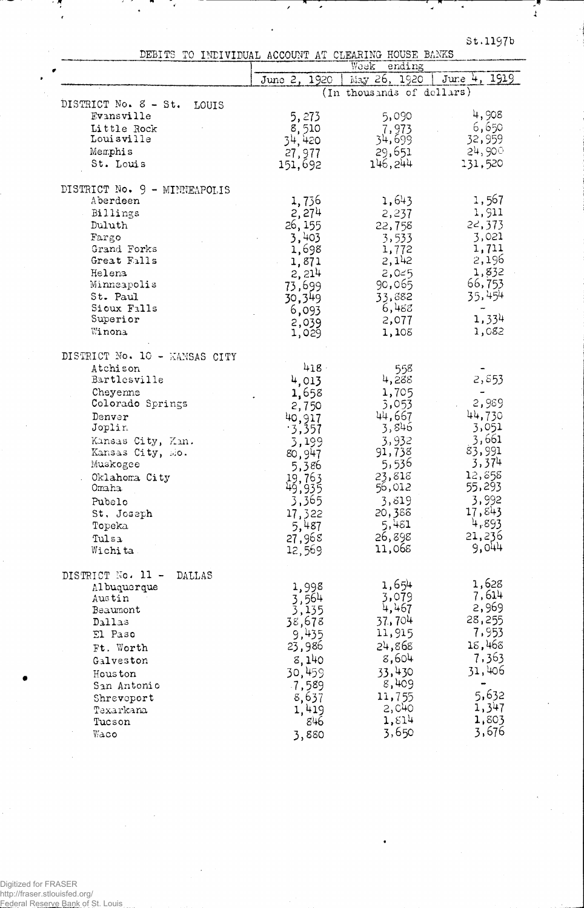$\pmb{\downarrow}$ 

 $\overline{a}$ 

DEBITS TO INDIVIDUAL ACCOUNT AT CLEARING HOUSE BANKS

Ţ,

|                               | Week<br>ending   |                           |              |
|-------------------------------|------------------|---------------------------|--------------|
|                               | June 2, 1920     | May 26, 1920              | June 4, 1919 |
|                               |                  | (In thousands of dollars) |              |
| DISTRICT No. 8 - St.<br>LOUIS |                  |                           |              |
| Evansville                    | 5,273            | 5,090                     | 4,908        |
| Little Rock                   | 8,510            | 7,973                     | 6,650        |
| Louisville                    | 34,420           | 34,699                    | 32,959       |
| Memphis                       | 27,977           | 29,651                    | 24,900       |
| St. Louis                     | 151,692          | 146,244                   | 131,520      |
|                               |                  |                           |              |
| DISTRICT No. 9 - MINNEAPOLIS  |                  |                           |              |
| Aberdeen                      | 1,736            | 1,643                     | 1,567        |
| Billings                      | 2,274            | 2,237                     | 1,911        |
| Duluth                        | 26, 155          | 22,758                    | 22, 373      |
| Fargo                         | 3,403            | 3,533                     | 3,021        |
| Grand Forks                   | 1,698            | 1,772                     | 1,711        |
| Great Falls                   | 1,871            | 2,142                     | 2,196        |
| Helena                        | 2,214            | 2,025                     | 1,832        |
| Minneapolis                   | 73,699           | 90,065                    | 66,753       |
| St. Paul                      | 30,349           | 33,882                    | 35,454       |
| Sioux Falls                   |                  | 6,488                     |              |
| Superior                      | 6,093            | 2,077                     | 1,334        |
| Winona                        | 2,039<br>1,029   | 1,108                     | 1,082        |
|                               |                  |                           |              |
| DISTRICT No. 10 - KANSAS CITY |                  |                           |              |
| Atchison                      | 418              | 558                       |              |
| Bartlesville                  | 4,013            | 4,288                     | 2,553        |
| Cheyenne                      | 1,658            | 1,705                     |              |
| Colorado Springs              | 2,750            | 3,053                     | 2,989        |
| Denver                        |                  | 44,667                    | 44,730       |
| Joplin                        | 40,917<br>.3,357 | 3,846                     | 3,051        |
| Kansas City, Kan.             | 3,199            | 3,932                     | 3,661        |
| Kansas City, Mo.              |                  | 91,738                    | 83,991       |
| Muskogee                      | 80,947           | 5,536                     | 3,374        |
| Oklahoma City                 | 5,386            | 23,818                    | 12,858       |
| Omaha                         | 19,763<br>49,935 | 56,012                    | 55,293       |
| Pubelo                        | 3,365            | 3,819                     | 3,992        |
|                               |                  | 20,388                    | 17,843       |
| St. Joseph                    | 17,322           | 5,481                     | 4,893        |
| Topeka                        | 5,487            | 26,898                    | 21,236       |
| Tulsa                         | 27,968           | 11,068                    | 9,044        |
| Wichita                       | 12,569           |                           |              |
|                               |                  |                           |              |
| DISTRICT No. 11 -<br>DALLAS   |                  | 1,654                     | 1,628        |
| Al buquerque<br>Austin        | 1,998            | 3,079                     | 7,614        |
| Beaumont                      | 3,564<br>3,135   | 4,467                     | 2,969        |
| Dallas                        | 38,678           | 37.,704                   | 28,255       |
| El Paso                       | 9,435            | 11,915                    | 7,953        |
|                               |                  | 24,868                    | 18,468       |
| Ft. Worth                     | 23,986           | 8,604                     | 7,363        |
| Galveston                     | 8,140            |                           |              |
| Hous ton                      | 30,459           | 33,430                    | 31,406       |
| San Antonio                   | 7,589            | 8,409                     |              |
| Shreveport                    | 8,637            | 11,755                    | 5,632        |
| Taxarkana                     | 1,419            | 2,040                     | 1,347        |
| Tucson                        | 846              | 1,514                     | 1,803        |
| Waco                          | 3,880            | 3,650                     | 3,676        |